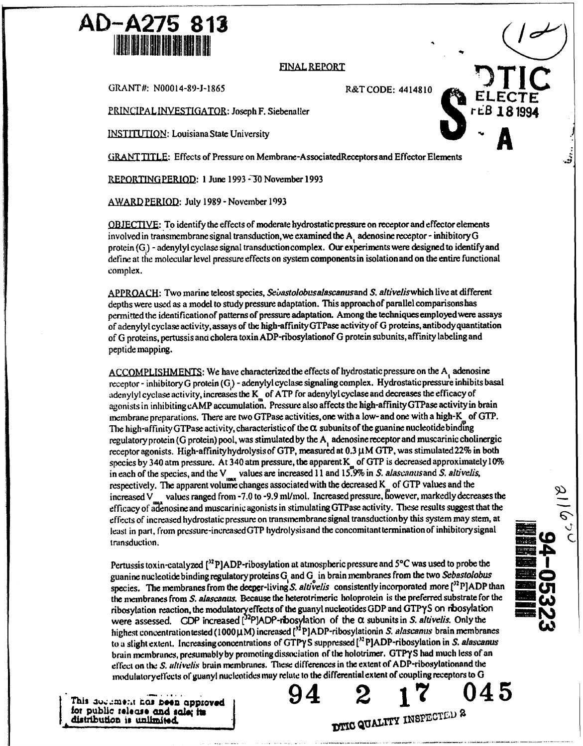## **AD-A275 813**

## **FINAL REPORT**

GRANT#: N00014-89-J-1865 R&T CODE: 4414810

PRINCIPAL INVESTIGATOR: Joseph F. Siebenaller

 $INSTITUTION:$  Louisiana State University

**GRA** NTITLE: Effects of Pressure on Membrane-AssociatedReceptors and Effector Elements

REPORTING PERIOD: 1 June 1993 - 30 November 1993

AWARD PERIOD: July 1989 - November 1993

OBJECIVE: To identify the effects of moderate hydrostatic pressure on receptor and effector elements involved in transmembrane signal transduction,we examined the **A,** adenosine receptor - inhibitory G protein (G.) - adenylyl cyclase signal transduction complex. Our experiments were designed to identify and define at the molecular level pressure effects on system components in isolation and on the entire functional complex.

APPROACH: Two marine teleost species, *Se;bastolobusalascanusand* S. aftiveliswhich live at different depths were used as a model to study pressure adaptation. This approach of parallel comparisons has permitted the identificationof patterns of pressure adaptation. Among the techniques employedwere assays of adenylyl cyclase activity, assays of the high-affinityGTPase activityof G proteins, antibody quantitation of G proteins, pertussis and cholera toxin ADP-ribosylationof G protein subunits, affinity labeling and peptide mapping.

ACCOMPLISHMENTS: We have characterized the effects of hydrostatic pressure on the A adenosine receptor - inhibitory G protein (G<sub>i</sub>) - adenylyl cyclase signaling complex. Hydrostatic pressure inhibits basal adenylyl cyclase activity, increases the  $K_{\text{m}}$  of ATP for adenylyl cyclase and decreases the efficacy of agonists in inhibitingcAMP accumulation. Pressure also affects the high-affinityGTPase activityin brain membrane preparations. There are two GTPase activities, one with a low- and one with a high-K of GTP. The high-affinity GTPase activity, characteristic of the  $\alpha$  subunits of the guanine nucleotide binding regulatory protein (G protein) pool, was stimulated by the **A,** adenosine receptor and muscarinic cholinergic receptor agonists. High-affinityhydrolysis of GTP, measured at  $0.3 \mu$ M GTP, was stimulated 22% in both species by 340 atm pressure. At 340 atm pressure, the apparent  $K_{\mu}$  of GTP is decreased approximately 10% in each of the species, and the  $V_{\text{max}}$  values are increased 11 and 15.9% in S. *alascanus* and S. *altivelis*, respectively. The apparent volume changes associated with the decreased  $K_{\ldots}$  of GTP values and the increased V values ranged from  $-7.0$  to  $-9.9$  ml/mol. Increased pressure, inverse from an arkedly decreases the efficacy of a enosine and muscarinic agonists in stimulating GTPase activity. These results suggest that the effects of increased hydrostatic pressure on transmembrane signal transductionby this system may stem, at least in part, from pressure-increased GTP hydrolysis and the concomitant termination of inhibitory signal transduction.

Pertussis toxin-catalyzed [<sup>32</sup>P]ADP-ribosylation at atmospheric pressure and 5°C was used to probe the guanine nucleotide binding regulatory proteins **G** and G in brain membranes from the two *Sebastolobus0* species. The membranes from the deeper-living S. altivelis consistently incorporated more [<sup>32</sup> P]ADP than the membranes from *S. alascanus.* Because the heterotrimeric holoprotein is the preferred substrate for the ribosylation reaction, the modulatoryeffects of the guanyl nucleotides GDP and GTPyS on rbosylation were assessed. GDP increased  $[^{32}P]$ ADP-rbosylation of the  $\alpha$  subunits in S. altivelis. Only the highest concentration tested (1000 $\mu$ M) increased  $\int_0^{1/2} P$ ]ADP-ribosylationin *S. alascanus* brain membranes to a slight extent. Increasing concentrations or GTPT- **S** suppressed **["** P]ADP-ribosylation in *S. alascanus* brain membranes, presumably by promoting dissociation of the holotrimer. GTPYS had much less of an effect on the S. altivelis brain membranes. These differences in the extent of ADP-ribosylationand **tie** modulatoryeffects of guanyl nucleotides may relate to the differential extent of coupling receptors to **G**

**f.f pubic** aV;\_a#j Iseaase hos, ¢Z•and **D94** s l a\* i**edz** !s 2 . zzf **17** zsz 045